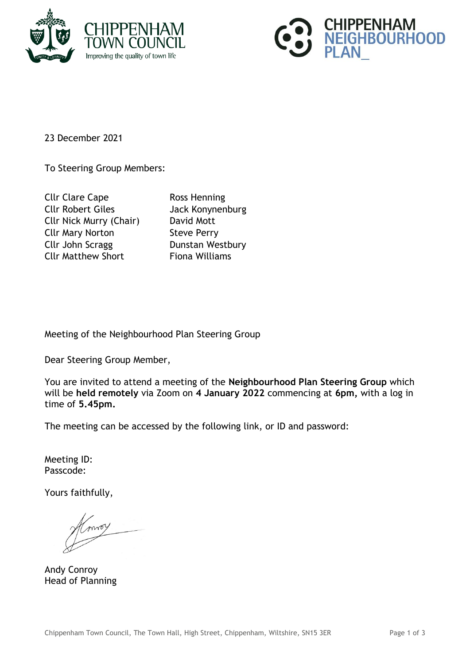



23 December 2021

To Steering Group Members:

| <b>Cllr Clare Cape</b>         |
|--------------------------------|
| <b>Cllr Robert Giles</b>       |
| <b>Cllr Nick Murry (Chair)</b> |
| <b>Cllr Mary Norton</b>        |
| Cllr John Scragg               |
| <b>Cllr Matthew Short</b>      |

Ross Henning Jack Konynenburg David Mott **Steve Perry** Dunstan Westbury Fiona Williams

Meeting of the Neighbourhood Plan Steering Group

Dear Steering Group Member,

You are invited to attend a meeting of the **Neighbourhood Plan Steering Group** which will be **held remotely** via Zoom on **4 January 2022** commencing at **6pm,** with a log in time of **5.45pm.**

The meeting can be accessed by the following link, or ID and password:

Meeting ID: Passcode:

Yours faithfully,

Andy Conroy Head of Planning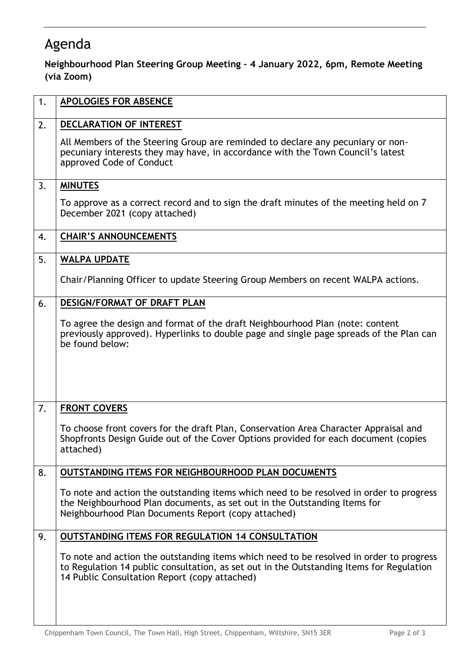## Agenda

## **Neighbourhood Plan Steering Group Meeting – 4 January 2022, 6pm, Remote Meeting (via Zoom)**

| 1. | <b>APOLOGIES FOR ABSENCE</b>                                                                                                                                                                                                         |
|----|--------------------------------------------------------------------------------------------------------------------------------------------------------------------------------------------------------------------------------------|
| 2. | DECLARATION OF INTEREST                                                                                                                                                                                                              |
|    | All Members of the Steering Group are reminded to declare any pecuniary or non-<br>pecuniary interests they may have, in accordance with the Town Council's latest<br>approved Code of Conduct                                       |
| 3. | <b>MINUTES</b>                                                                                                                                                                                                                       |
|    | To approve as a correct record and to sign the draft minutes of the meeting held on 7<br>December 2021 (copy attached)                                                                                                               |
| 4. | <b>CHAIR'S ANNOUNCEMENTS</b>                                                                                                                                                                                                         |
| 5. | <b>WALPA UPDATE</b>                                                                                                                                                                                                                  |
|    | Chair/Planning Officer to update Steering Group Members on recent WALPA actions.                                                                                                                                                     |
| 6. | DESIGN/FORMAT OF DRAFT PLAN                                                                                                                                                                                                          |
|    | To agree the design and format of the draft Neighbourhood Plan (note: content<br>previously approved). Hyperlinks to double page and single page spreads of the Plan can<br>be found below:                                          |
| 7. | <b>FRONT COVERS</b>                                                                                                                                                                                                                  |
|    | To choose front covers for the draft Plan, Conservation Area Character Appraisal and<br>Shopfronts Design Guide out of the Cover Options provided for each document (copies<br>attached)                                             |
| 8. | <b>OUTSTANDING ITEMS FOR NEIGHBOURHOOD PLAN DOCUMENTS</b>                                                                                                                                                                            |
|    | To note and action the outstanding items which need to be resolved in order to progress<br>the Neighbourhood Plan documents, as set out in the Outstanding Items for<br>Neighbourhood Plan Documents Report (copy attached)          |
| 9. | <b>OUTSTANDING ITEMS FOR REGULATION 14 CONSULTATION</b>                                                                                                                                                                              |
|    | To note and action the outstanding items which need to be resolved in order to progress<br>to Regulation 14 public consultation, as set out in the Outstanding Items for Regulation<br>14 Public Consultation Report (copy attached) |
|    |                                                                                                                                                                                                                                      |